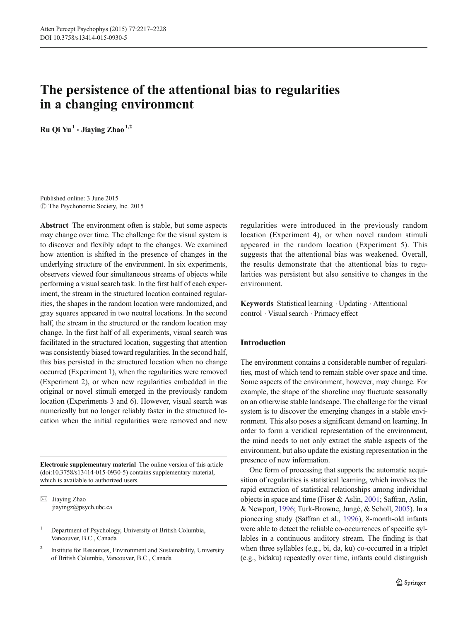# The persistence of the attentional bias to regularities in a changing environment

Ru Qi Yu<sup>1</sup>  $\cdot$  Jiaving Zhao<sup>1,2</sup>

Published online: 3 June 2015 © The Psychonomic Society, Inc. 2015

Abstract The environment often is stable, but some aspects may change over time. The challenge for the visual system is to discover and flexibly adapt to the changes. We examined how attention is shifted in the presence of changes in the underlying structure of the environment. In six experiments, observers viewed four simultaneous streams of objects while performing a visual search task. In the first half of each experiment, the stream in the structured location contained regularities, the shapes in the random location were randomized, and gray squares appeared in two neutral locations. In the second half, the stream in the structured or the random location may change. In the first half of all experiments, visual search was facilitated in the structured location, suggesting that attention was consistently biased toward regularities. In the second half, this bias persisted in the structured location when no change occurred (Experiment 1), when the regularities were removed (Experiment 2), or when new regularities embedded in the original or novel stimuli emerged in the previously random location (Experiments 3 and 6). However, visual search was numerically but no longer reliably faster in the structured location when the initial regularities were removed and new

Electronic supplementary material The online version of this article (doi[:10.3758/s13414-015-0930-5](http://dx.doi.org/10.3758/s13414-015-0930-5)) contains supplementary material, which is available to authorized users.

 $\boxtimes$  Jiaying Zhao jiayingz@psych.ubc.ca

<sup>1</sup> Department of Psychology, University of British Columbia, Vancouver, B.C., Canada

<sup>2</sup> Institute for Resources, Environment and Sustainability, University of British Columbia, Vancouver, B.C., Canada

regularities were introduced in the previously random location (Experiment 4), or when novel random stimuli appeared in the random location (Experiment 5). This suggests that the attentional bias was weakened. Overall, the results demonstrate that the attentional bias to regularities was persistent but also sensitive to changes in the environment.

Keywords Statistical learning · Updating · Attentional control . Visual search . Primacy effect

#### Introduction

The environment contains a considerable number of regularities, most of which tend to remain stable over space and time. Some aspects of the environment, however, may change. For example, the shape of the shoreline may fluctuate seasonally on an otherwise stable landscape. The challenge for the visual system is to discover the emerging changes in a stable environment. This also poses a significant demand on learning. In order to form a veridical representation of the environment, the mind needs to not only extract the stable aspects of the environment, but also update the existing representation in the presence of new information.

One form of processing that supports the automatic acquisition of regularities is statistical learning, which involves the rapid extraction of statistical relationships among individual objects in space and time (Fiser & Aslin, [2001](#page-10-0); Saffran, Aslin, & Newport, [1996](#page-10-0); Turk-Browne, Jungé, & Scholl, [2005\)](#page-10-0). In a pioneering study (Saffran et al., [1996\)](#page-10-0), 8-month-old infants were able to detect the reliable co-occurrences of specific syllables in a continuous auditory stream. The finding is that when three syllables (e.g., bi, da, ku) co-occurred in a triplet (e.g., bidaku) repeatedly over time, infants could distinguish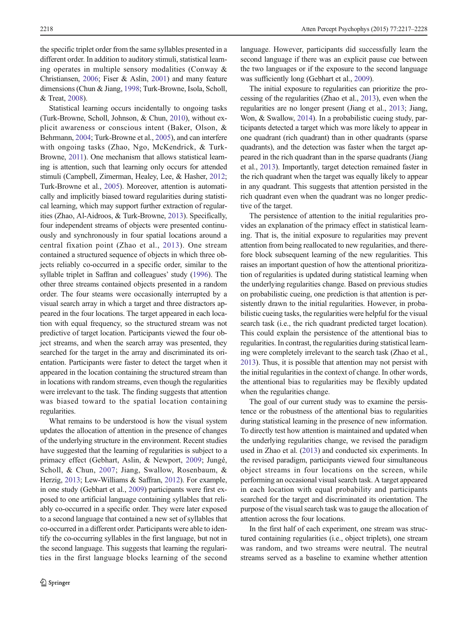the specific triplet order from the same syllables presented in a different order. In addition to auditory stimuli, statistical learning operates in multiple sensory modalities (Conway & Christiansen, [2006](#page-10-0); Fiser & Aslin, [2001](#page-10-0)) and many feature dimensions (Chun & Jiang, [1998](#page-10-0); Turk-Browne, Isola, Scholl, & Treat, [2008\)](#page-11-0).

Statistical learning occurs incidentally to ongoing tasks (Turk-Browne, Scholl, Johnson, & Chun, [2010\)](#page-11-0), without explicit awareness or conscious intent (Baker, Olson, & Behrmann, [2004;](#page-10-0) Turk-Browne et al., [2005](#page-10-0)), and can interfere with ongoing tasks (Zhao, Ngo, McKendrick, & Turk-Browne, [2011\)](#page-11-0). One mechanism that allows statistical learning is attention, such that learning only occurs for attended stimuli (Campbell, Zimerman, Healey, Lee, & Hasher, [2012](#page-10-0); Turk-Browne et al., [2005](#page-10-0)). Moreover, attention is automatically and implicitly biased toward regularities during statistical learning, which may support further extraction of regularities (Zhao, Al-Aidroos, & Turk-Browne, [2013](#page-11-0)). Specifically, four independent streams of objects were presented continuously and synchronously in four spatial locations around a central fixation point (Zhao et al., [2013\)](#page-11-0). One stream contained a structured sequence of objects in which three objects reliably co-occurred in a specific order, similar to the syllable triplet in Saffran and colleagues' study [\(1996\)](#page-10-0). The other three streams contained objects presented in a random order. The four steams were occasionally interrupted by a visual search array in which a target and three distractors appeared in the four locations. The target appeared in each location with equal frequency, so the structured stream was not predictive of target location. Participants viewed the four object streams, and when the search array was presented, they searched for the target in the array and discriminated its orientation. Participants were faster to detect the target when it appeared in the location containing the structured stream than in locations with random streams, even though the regularities were irrelevant to the task. The finding suggests that attention was biased toward to the spatial location containing regularities.

What remains to be understood is how the visual system updates the allocation of attention in the presence of changes of the underlying structure in the environment. Recent studies have suggested that the learning of regularities is subject to a primacy effect (Gebhart, Aslin, & Newport, [2009;](#page-10-0) Jungé, Scholl, & Chun, [2007](#page-10-0); Jiang, Swallow, Rosenbaum, & Herzig, [2013](#page-10-0); Lew-Williams & Saffran, [2012](#page-10-0)). For example, in one study (Gebhart et al., [2009](#page-10-0)) participants were first exposed to one artificial language containing syllables that reliably co-occurred in a specific order. They were later exposed to a second language that contained a new set of syllables that co-occurred in a different order. Participants were able to identify the co-occurring syllables in the first language, but not in the second language. This suggests that learning the regularities in the first language blocks learning of the second

language. However, participants did successfully learn the second language if there was an explicit pause cue between the two languages or if the exposure to the second language was sufficiently long (Gebhart et al., [2009](#page-10-0)).

The initial exposure to regularities can prioritize the processing of the regularities (Zhao et al., [2013\)](#page-11-0), even when the regularities are no longer present (Jiang et al., [2013;](#page-10-0) Jiang, Won, & Swallow, [2014](#page-10-0)). In a probabilistic cueing study, participants detected a target which was more likely to appear in one quadrant (rich quadrant) than in other quadrants (sparse quadrants), and the detection was faster when the target appeared in the rich quadrant than in the sparse quadrants (Jiang et al., [2013\)](#page-10-0). Importantly, target detection remained faster in the rich quadrant when the target was equally likely to appear in any quadrant. This suggests that attention persisted in the rich quadrant even when the quadrant was no longer predictive of the target.

The persistence of attention to the initial regularities provides an explanation of the primacy effect in statistical learning. That is, the initial exposure to regularities may prevent attention from being reallocated to new regularities, and therefore block subsequent learning of the new regularities. This raises an important question of how the attentional prioritization of regularities is updated during statistical learning when the underlying regularities change. Based on previous studies on probabilistic cueing, one prediction is that attention is persistently drawn to the initial regularities. However, in probabilistic cueing tasks, the regularities were helpful for the visual search task (i.e., the rich quadrant predicted target location). This could explain the persistence of the attentional bias to regularities. In contrast, the regularities during statistical learning were completely irrelevant to the search task (Zhao et al., [2013\)](#page-11-0). Thus, it is possible that attention may not persist with the initial regularities in the context of change. In other words, the attentional bias to regularities may be flexibly updated when the regularities change.

The goal of our current study was to examine the persistence or the robustness of the attentional bias to regularities during statistical learning in the presence of new information. To directly test how attention is maintained and updated when the underlying regularities change, we revised the paradigm used in Zhao et al. ([2013](#page-11-0)) and conducted six experiments. In the revised paradigm, participants viewed four simultaneous object streams in four locations on the screen, while performing an occasional visual search task. A target appeared in each location with equal probability and participants searched for the target and discriminated its orientation. The purpose of the visual search task was to gauge the allocation of attention across the four locations.

In the first half of each experiment, one stream was structured containing regularities (i.e., object triplets), one stream was random, and two streams were neutral. The neutral streams served as a baseline to examine whether attention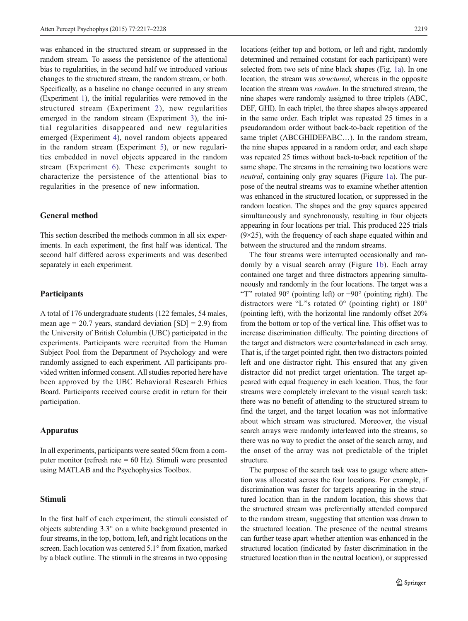was enhanced in the structured stream or suppressed in the random stream. To assess the persistence of the attentional bias to regularities, in the second half we introduced various changes to the structured stream, the random stream, or both. Specifically, as a baseline no change occurred in any stream (Experiment [1\)](#page-3-0), the initial regularities were removed in the structured stream (Experiment [2\)](#page-4-0), new regularities emerged in the random stream (Experiment [3](#page-5-0)), the initial regularities disappeared and new regularities emerged (Experiment [4\)](#page-6-0), novel random objects appeared in the random stream (Experiment [5\)](#page-7-0), or new regularities embedded in novel objects appeared in the random stream (Experiment [6\)](#page-8-0). These experiments sought to characterize the persistence of the attentional bias to regularities in the presence of new information.

# General method

This section described the methods common in all six experiments. In each experiment, the first half was identical. The second half differed across experiments and was described separately in each experiment.

#### **Participants**

A total of 176 undergraduate students (122 females, 54 males, mean age  $= 20.7$  years, standard deviation  $[SD] = 2.9$ ) from the University of British Columbia (UBC) participated in the experiments. Participants were recruited from the Human Subject Pool from the Department of Psychology and were randomly assigned to each experiment. All participants provided written informed consent. All studies reported here have been approved by the UBC Behavioral Research Ethics Board. Participants received course credit in return for their participation.

## Apparatus

In all experiments, participants were seated 50cm from a computer monitor (refresh rate = 60 Hz). Stimuli were presented using MATLAB and the Psychophysics Toolbox.

# Stimuli

In the first half of each experiment, the stimuli consisted of objects subtending 3.3° on a white background presented in four streams, in the top, bottom, left, and right locations on the screen. Each location was centered 5.1° from fixation, marked by a black outline. The stimuli in the streams in two opposing

locations (either top and bottom, or left and right, randomly determined and remained constant for each participant) were selected from two sets of nine black shapes (Fig. [1a\)](#page-3-0). In one location, the stream was *structured*, whereas in the opposite location the stream was random. In the structured stream, the nine shapes were randomly assigned to three triplets (ABC, DEF, GHI). In each triplet, the three shapes always appeared in the same order. Each triplet was repeated 25 times in a pseudorandom order without back-to-back repetition of the same triplet (ABCGHIDEFABC...). In the random stream, the nine shapes appeared in a random order, and each shape was repeated 25 times without back-to-back repetition of the same shape. The streams in the remaining two locations were neutral, containing only gray squares (Figure [1a](#page-3-0)). The purpose of the neutral streams was to examine whether attention was enhanced in the structured location, or suppressed in the random location. The shapes and the gray squares appeared simultaneously and synchronously, resulting in four objects appearing in four locations per trial. This produced 225 trials  $(9\times25)$ , with the frequency of each shape equated within and between the structured and the random streams.

The four streams were interrupted occasionally and randomly by a visual search array (Figure [1b\)](#page-3-0). Each array contained one target and three distractors appearing simultaneously and randomly in the four locations. The target was a "T" rotated 90° (pointing left) or  $-90^\circ$  (pointing right). The distractors were "L"s rotated  $0^{\circ}$  (pointing right) or  $180^{\circ}$ (pointing left), with the horizontal line randomly offset 20% from the bottom or top of the vertical line. This offset was to increase discrimination difficulty. The pointing directions of the target and distractors were counterbalanced in each array. That is, if the target pointed right, then two distractors pointed left and one distractor right. This ensured that any given distractor did not predict target orientation. The target appeared with equal frequency in each location. Thus, the four streams were completely irrelevant to the visual search task: there was no benefit of attending to the structured stream to find the target, and the target location was not informative about which stream was structured. Moreover, the visual search arrays were randomly interleaved into the streams, so there was no way to predict the onset of the search array, and the onset of the array was not predictable of the triplet structure.

The purpose of the search task was to gauge where attention was allocated across the four locations. For example, if discrimination was faster for targets appearing in the structured location than in the random location, this shows that the structured stream was preferentially attended compared to the random stream, suggesting that attention was drawn to the structured location. The presence of the neutral streams can further tease apart whether attention was enhanced in the structured location (indicated by faster discrimination in the structured location than in the neutral location), or suppressed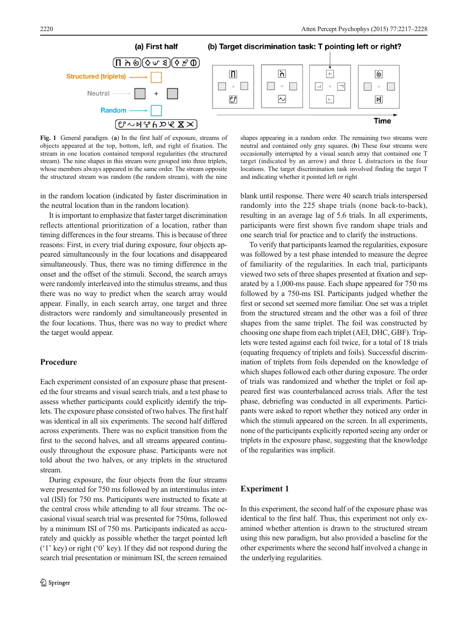<span id="page-3-0"></span>

Fig. 1 General paradigm. (a) In the first half of exposure, streams of objects appeared at the top, bottom, left, and right of fixation. The stream in one location contained temporal regularities (the structured stream). The nine shapes in this stream were grouped into three triplets, whose members always appeared in the same order. The stream opposite the structured stream was random (the random stream), with the nine

in the random location (indicated by faster discrimination in the neutral location than in the random location).

It is important to emphasize that faster target discrimination reflects attentional prioritization of a location, rather than timing differences in the four streams. This is because of three reasons: First, in every trial during exposure, four objects appeared simultaneously in the four locations and disappeared simultaneously. Thus, there was no timing difference in the onset and the offset of the stimuli. Second, the search arrays were randomly interleaved into the stimulus streams, and thus there was no way to predict when the search array would appear. Finally, in each search array, one target and three distractors were randomly and simultaneously presented in the four locations. Thus, there was no way to predict where the target would appear.

#### Procedure

Each experiment consisted of an exposure phase that presented the four streams and visual search trials, and a test phase to assess whether participants could explicitly identify the triplets. The exposure phase consisted of two halves. The first half was identical in all six experiments. The second half differed across experiments. There was no explicit transition from the first to the second halves, and all streams appeared continuously throughout the exposure phase. Participants were not told about the two halves, or any triplets in the structured stream.

During exposure, the four objects from the four streams were presented for 750 ms followed by an interstimulus interval (ISI) for 750 ms. Participants were instructed to fixate at the central cross while attending to all four streams. The occasional visual search trial was presented for 750ms, followed by a minimum ISI of 750 ms. Participants indicated as accurately and quickly as possible whether the target pointed left ('1' key) or right ('0' key). If they did not respond during the search trial presentation or minimum ISI, the screen remained

shapes appearing in a random order. The remaining two streams were neutral and contained only gray squares. (b) These four streams were occasionally interrupted by a visual search array that contained one T target (indicated by an arrow) and three L distractors in the four locations. The target discrimination task involved finding the target T and indicating whether it pointed left or right

blank until response. There were 40 search trials interspersed randomly into the 225 shape trials (none back-to-back), resulting in an average lag of 5.6 trials. In all experiments, participants were first shown five random shape trials and one search trial for practice and to clarify the instructions.

To verify that participants learned the regularities, exposure was followed by a test phase intended to measure the degree of familiarity of the regularities. In each trial, participants viewed two sets of three shapes presented at fixation and separated by a 1,000-ms pause. Each shape appeared for 750 ms followed by a 750-ms ISI. Participants judged whether the first or second set seemed more familiar. One set was a triplet from the structured stream and the other was a foil of three shapes from the same triplet. The foil was constructed by choosing one shape from each triplet (AEI, DHC, GBF). Triplets were tested against each foil twice, for a total of 18 trials (equating frequency of triplets and foils). Successful discrimination of triplets from foils depended on the knowledge of which shapes followed each other during exposure. The order of trials was randomized and whether the triplet or foil appeared first was counterbalanced across trials. After the test phase, debriefing was conducted in all experiments. Participants were asked to report whether they noticed any order in which the stimuli appeared on the screen. In all experiments, none of the participants explicitly reported seeing any order or triplets in the exposure phase, suggesting that the knowledge of the regularities was implicit.

## Experiment 1

In this experiment, the second half of the exposure phase was identical to the first half. Thus, this experiment not only examined whether attention is drawn to the structured stream using this new paradigm, but also provided a baseline for the other experiments where the second half involved a change in the underlying regularities.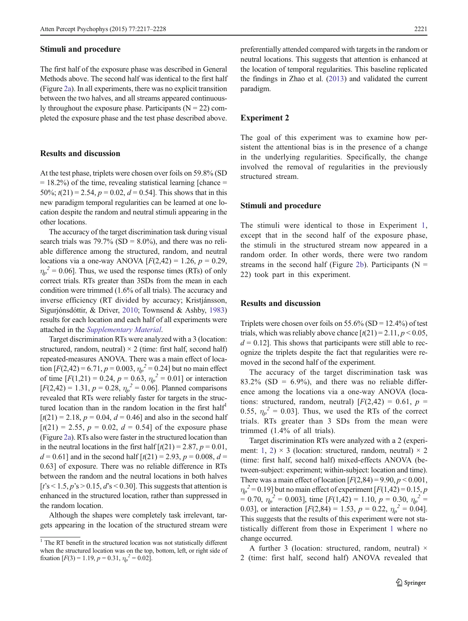#### <span id="page-4-0"></span>Stimuli and procedure

The first half of the exposure phase was described in General Methods above. The second half was identical to the first half (Figure [2a\)](#page-5-0). In all experiments, there was no explicit transition between the two halves, and all streams appeared continuously throughout the exposure phase. Participants ( $N = 22$ ) completed the exposure phase and the test phase described above.

# Results and discussion

At the test phase, triplets were chosen over foils on 59.8% (SD  $= 18.2\%$ ) of the time, revealing statistical learning [chance  $=$ 50%;  $t(21) = 2.54$ ,  $p = 0.02$ ,  $d = 0.54$ ]. This shows that in this new paradigm temporal regularities can be learned at one location despite the random and neutral stimuli appearing in the other locations.

The accuracy of the target discrimination task during visual search trials was  $79.7\%$  (SD =  $8.0\%$ ), and there was no reliable difference among the structured, random, and neutral locations via a one-way ANOVA  $[F(2,42) = 1.26, p = 0.29,$  $\eta_p^2$  = 0.06]. Thus, we used the response times (RTs) of only correct trials. RTs greater than 3SDs from the mean in each condition were trimmed (1.6% of all trials). The accuracy and inverse efficiency (RT divided by accuracy; Kristjánsson, Sigurjónsdóttir, & Driver, [2010](#page-10-0); Townsend & Ashby, [1983\)](#page-10-0) results for each location and each half of all experiments were attached in the Supplementary Material.

Target discrimination RTs were analyzed with a 3 (location: structured, random, neutral)  $\times$  2 (time: first half, second half) repeated-measures ANOVA. There was a main effect of location  $[F(2,42) = 6.71, p = 0.003, \eta_p^2 = 0.24]$  but no main effect of time  $[F(1,21) = 0.24, p = 0.63, \eta_p^2 = 0.01]$  or interaction  $[F(2,42) = 1.31, p = 0.28, \eta_p^2 = 0.06]$ . Planned comparisons revealed that RTs were reliably faster for targets in the structured location than in the random location in the first half $<sup>1</sup>$ </sup>  $[t(21) = 2.18, p = 0.04, d = 0.46]$  and also in the second half  $[t(21) = 2.55, p = 0.02, d = 0.54]$  of the exposure phase (Figure [2a](#page-5-0)). RTs also were faster in the structured location than in the neutral locations in the first half  $\lceil t(21) = 2.87, p = 0.01$ ,  $d = 0.61$ ] and in the second half  $\lceil t(21) = 2.93, p = 0.008, d =$ 0.63] of exposure. There was no reliable difference in RTs between the random and the neutral locations in both halves  $[t's < 1.5, p's > 0.15, d's < 0.30]$ . This suggests that attention is enhanced in the structured location, rather than suppressed in the random location.

Although the shapes were completely task irrelevant, targets appearing in the location of the structured stream were preferentially attended compared with targets in the random or neutral locations. This suggests that attention is enhanced at the location of temporal regularities. This baseline replicated the findings in Zhao et al. [\(2013](#page-11-0)) and validated the current paradigm.

#### Experiment 2

The goal of this experiment was to examine how persistent the attentional bias is in the presence of a change in the underlying regularities. Specifically, the change involved the removal of regularities in the previously structured stream.

#### Stimuli and procedure

The stimuli were identical to those in Experiment [1,](#page-3-0) except that in the second half of the exposure phase, the stimuli in the structured stream now appeared in a random order. In other words, there were two random streams in the second half (Figure [2b](#page-5-0)). Participants ( $N =$ 22) took part in this experiment.

# Results and discussion

Triplets were chosen over foils on  $55.6\%$  (SD = 12.4%) of test trials, which was reliably above chance  $\lceil t(21) = 2.11, p \le 0.05$ ,  $d = 0.12$ . This shows that participants were still able to recognize the triplets despite the fact that regularities were removed in the second half of the experiment.

The accuracy of the target discrimination task was  $83.2\%$  (SD = 6.9%), and there was no reliable difference among the locations via a one-way ANOVA (locations: structured, random, neutral)  $[F(2,42) = 0.61, p =$ 0.55,  $\eta_p^2 = 0.03$ . Thus, we used the RTs of the correct trials. RTs greater than 3 SDs from the mean were trimmed (1.4% of all trials).

Target discrimination RTs were analyzed with a 2 (experi-ment: [1](#page-3-0), 2)  $\times$  3 (location: structured, random, neutral)  $\times$  2 (time: first half, second half) mixed-effects ANOVA (between-subject: experiment; within-subject: location and time). There was a main effect of location  $[F(2,84) = 9.90, p < 0.001,$  $\eta_p^2$  = 0.19] but no main effect of experiment [F(1,42) = 0.15, p  $= 0.70$ ,  $\eta_p^2 = 0.003$ ], time [F(1,42) = 1.10, p = 0.30,  $\eta_p^2 =$ 0.03], or interaction  $[F(2,84) = 1.53, p = 0.22, \eta_p^2 = 0.04]$ . This suggests that the results of this experiment were not statistically different from those in Experiment [1](#page-3-0) where no change occurred.

A further 3 (location: structured, random, neutral)  $\times$ 2 (time: first half, second half) ANOVA revealed that

 $1$  The RT benefit in the structured location was not statistically different when the structured location was on the top, bottom, left, or right side of fixation  $[F(3) = 1.19, p = 0.31, \eta_p^2 = 0.02]$ .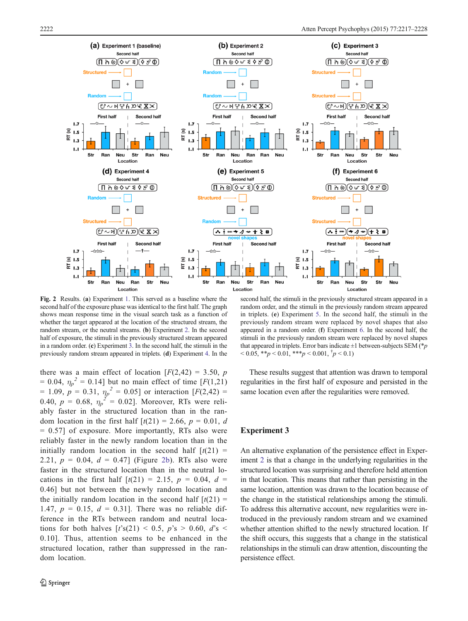<span id="page-5-0"></span>

Fig. 2 Results. (a) Experiment [1](#page-3-0). This served as a baseline where the second half of the exposure phase was identical to the first half. The graph shows mean response time in the visual search task as a function of whether the target appeared at the location of the structured stream, the random stream, or the neutral streams. (b) Experiment [2](#page-4-0). In the second half of exposure, the stimuli in the previously structured stream appeared in a random order. (c) Experiment 3. In the second half, the stimuli in the previously random stream appeared in triplets. (d) Experiment [4](#page-6-0). In the

there was a main effect of location  $[F(2,42) = 3.50, p]$  $= 0.04$ ,  $\eta_p^2 = 0.14$ ] but no main effect of time [F(1,21)  $= 1.09, p = 0.31, \eta_p^2 = 0.05$  or interaction  $[F(2,42) =$ 0.40,  $p = 0.68$ ,  $\eta_p^2 = 0.02$ . Moreover, RTs were reliably faster in the structured location than in the random location in the first half  $\lceil t(21) \rceil = 2.66$ ,  $p = 0.01$ , d  $= 0.57$ ] of exposure. More importantly, RTs also were reliably faster in the newly random location than in the initially random location in the second half  $[t(21) =$ 2.21,  $p = 0.04$ ,  $d = 0.47$  (Figure 2b). RTs also were faster in the structured location than in the neutral locations in the first half  $[t(21) = 2.15, p = 0.04, d =$ 0.46] but not between the newly random location and the initially random location in the second half  $[t(21) =$ 1.47,  $p = 0.15$ ,  $d = 0.31$ ]. There was no reliable difference in the RTs between random and neutral locations for both halves  $[t\text{'s}(21) < 0.5, p\text{'s} > 0.60, d\text{'s}$ 0.10]. Thus, attention seems to be enhanced in the structured location, rather than suppressed in the random location.

second half, the stimuli in the previously structured stream appeared in a random order, and the stimuli in the previously random stream appeared in triplets. (e) Experiment [5](#page-7-0). In the second half, the stimuli in the previously random stream were replaced by novel shapes that also appeared in a random order. (f) Experiment [6](#page-8-0). In the second half, the stimuli in the previously random stream were replaced by novel shapes that appeared in triplets. Error bars indicate  $\pm 1$  between-subjects SEM (\**p*)  $< 0.05, **p < 0.01, **p < 0.001, *p < 0.1$ 

These results suggest that attention was drawn to temporal regularities in the first half of exposure and persisted in the same location even after the regularities were removed.

## Experiment 3

An alternative explanation of the persistence effect in Experiment [2](#page-4-0) is that a change in the underlying regularities in the structured location was surprising and therefore held attention in that location. This means that rather than persisting in the same location, attention was drawn to the location because of the change in the statistical relationships among the stimuli. To address this alternative account, new regularities were introduced in the previously random stream and we examined whether attention shifted to the newly structured location. If the shift occurs, this suggests that a change in the statistical relationships in the stimuli can draw attention, discounting the persistence effect.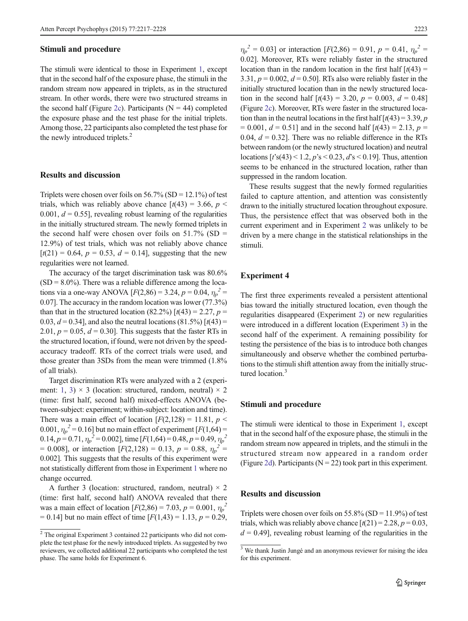#### <span id="page-6-0"></span>Stimuli and procedure

The stimuli were identical to those in Experiment [1,](#page-3-0) except that in the second half of the exposure phase, the stimuli in the random stream now appeared in triplets, as in the structured stream. In other words, there were two structured streams in the second half (Figure [2c](#page-5-0)). Participants ( $N = 44$ ) completed the exposure phase and the test phase for the initial triplets. Among those, 22 participants also completed the test phase for the newly introduced triplets.<sup>2</sup>

## Results and discussion

Triplets were chosen over foils on  $56.7\%$  (SD = 12.1%) of test trials, which was reliably above chance  $\lceil t(43) = 3.66, p <$ 0.001,  $d = 0.55$ , revealing robust learning of the regularities in the initially structured stream. The newly formed triplets in the second half were chosen over foils on  $51.7\%$  (SD = 12.9%) of test trials, which was not reliably above chance  $[t(21) = 0.64, p = 0.53, d = 0.14]$ , suggesting that the new regularities were not learned.

The accuracy of the target discrimination task was 80.6%  $(SD = 8.0\%)$ . There was a reliable difference among the locations via a one-way ANOVA  $[F(2,86) = 3.24, p = 0.04, \eta_p^2]$ 0.07]. The accuracy in the random location was lower (77.3%) than that in the structured location (82.2%)  $[t(43) = 2.27, p =$ 0.03,  $d = 0.34$ ], and also the neutral locations  $(81.5\%)$  [ $t(43) =$ 2.01,  $p = 0.05$ ,  $d = 0.30$ . This suggests that the faster RTs in the structured location, if found, were not driven by the speedaccuracy tradeoff. RTs of the correct trials were used, and those greater than 3SDs from the mean were trimmed (1.8% of all trials).

Target discrimination RTs were analyzed with a 2 (experi-ment: [1](#page-3-0), [3](#page-5-0))  $\times$  3 (location: structured, random, neutral)  $\times$  2 (time: first half, second half) mixed-effects ANOVA (between-subject: experiment; within-subject: location and time). There was a main effect of location  $[F(2,128) = 11.81, p \leq 11.81]$ 0.001,  $\eta_p^2$  = 0.16] but no main effect of experiment [ $F(1,64)$  = 0.14,  $p = 0.71$ ,  $\eta_p^2 = 0.002$ , time [ $F(1,64) = 0.48$ ,  $p = 0.49$ ,  $\eta_p^2$ = 0.008], or interaction  $[F(2,128) = 0.13, p = 0.88, \eta_p^2]$ 0.002]. This suggests that the results of this experiment were not statistically different from those in Experiment [1](#page-3-0) where no change occurred.

A further 3 (location: structured, random, neutral)  $\times$  2 (time: first half, second half) ANOVA revealed that there was a main effect of location  $[F(2,86) = 7.03, p = 0.001, \eta_p^2]$  $= 0.14$ ] but no main effect of time [ $F(1,43) = 1.13$ ,  $p = 0.29$ ,

 $\eta_p^2 = 0.03$ ] or interaction [F(2,86) = 0.91, p = 0.41,  $\eta_p^2$  = 0.02]. Moreover, RTs were reliably faster in the structured location than in the random location in the first half  $\lceil t(43) \rceil$ 3.31,  $p = 0.002$ ,  $d = 0.50$ . RTs also were reliably faster in the initially structured location than in the newly structured location in the second half  $[t(43) = 3.20, p = 0.003, d = 0.48]$ (Figure [2c](#page-5-0)). Moreover, RTs were faster in the structured location than in the neutral locations in the first half  $\lceil t(43) = 3.39, p$  $= 0.001, d = 0.51$ ] and in the second half  $\lceil t(43) = 2.13, p = 0.001$ 0.04,  $d = 0.32$ . There was no reliable difference in the RTs between random (or the newly structured location) and neutral locations  $[t\text{'s}(43) < 1.2, p\text{'s} < 0.23, d\text{'s} < 0.19]$ . Thus, attention seems to be enhanced in the structured location, rather than suppressed in the random location.

These results suggest that the newly formed regularities failed to capture attention, and attention was consistently drawn to the initially structured location throughout exposure. Thus, the persistence effect that was observed both in the current experiment and in Experiment [2](#page-4-0) was unlikely to be driven by a mere change in the statistical relationships in the stimuli.

#### Experiment 4

The first three experiments revealed a persistent attentional bias toward the initially structured location, even though the regularities disappeared (Experiment [2\)](#page-4-0) or new regularities were introduced in a different location (Experiment [3\)](#page-5-0) in the second half of the experiment. A remaining possibility for testing the persistence of the bias is to introduce both changes simultaneously and observe whether the combined perturbations to the stimuli shift attention away from the initially structured location.<sup>3</sup>

## Stimuli and procedure

The stimuli were identical to those in Experiment [1](#page-3-0), except that in the second half of the exposure phase, the stimuli in the random stream now appeared in triplets, and the stimuli in the structured stream now appeared in a random order (Figure [2d](#page-5-0)). Participants ( $N = 22$ ) took part in this experiment.

# Results and discussion

Triplets were chosen over foils on  $55.8\%$  (SD =  $11.9\%$ ) of test trials, which was reliably above chance  $\lceil t(21) = 2.28, p = 0.03$ .

<sup>&</sup>lt;sup>2</sup> The original Experiment 3 contained 22 participants who did not com-  $d = 0.49$ ], revealing robust learning of the regularities in the plete the test phase for the newly introduced triplets. As suggested by two reviewers, we collected additional 22 participants who completed the test phase. The same holds for Experiment 6.

<sup>&</sup>lt;sup>3</sup> We thank Justin Jungé and an anonymous reviewer for raising the idea for this experiment.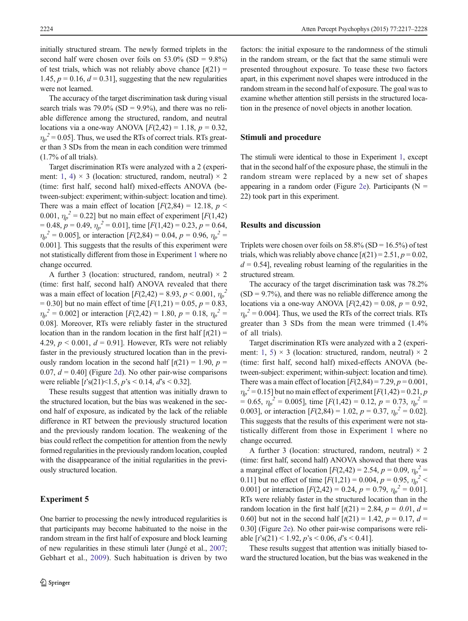<span id="page-7-0"></span>initially structured stream. The newly formed triplets in the second half were chosen over foils on  $53.0\%$  (SD =  $9.8\%$ ) of test trials, which was not reliably above chance  $\lceil t(21) \rceil$ 1.45,  $p = 0.16$ ,  $d = 0.31$ , suggesting that the new regularities were not learned.

The accuracy of the target discrimination task during visual search trials was  $79.0\%$  (SD =  $9.9\%$ ), and there was no reliable difference among the structured, random, and neutral locations via a one-way ANOVA  $[F(2,42) = 1.18, p = 0.32]$ ,  $\eta_p^2$  = 0.05]. Thus, we used the RTs of correct trials. RTs greater than 3 SDs from the mean in each condition were trimmed (1.7% of all trials).

Target discrimination RTs were analyzed with a 2 (experi-ment: [1](#page-3-0), [4](#page-6-0))  $\times$  3 (location: structured, random, neutral)  $\times$  2 (time: first half, second half) mixed-effects ANOVA (between-subject: experiment; within-subject: location and time). There was a main effect of location  $[F(2,84) = 12.18, p \leq$ 0.001,  $\eta_p^2 = 0.22$ ] but no main effect of experiment [ $F(1,42)$ ]  $= 0.48, p = 0.49, \eta_p^2 = 0.01$ , time [ $F(1,42) = 0.23, p = 0.64$ ,  $\eta_p^2 = 0.005$ , or interaction [F(2,84) = 0.04, p = 0.96,  $\eta_p^2$  = 0.001]. This suggests that the results of this experiment were not statistically different from those in Experiment [1](#page-3-0) where no change occurred.

A further 3 (location: structured, random, neutral)  $\times$  2 (time: first half, second half) ANOVA revealed that there was a main effect of location  $[F(2,42) = 8.93, p < 0.001, \eta_p^2]$  $= 0.30$ ] but no main effect of time  $[F(1,21) = 0.05, p = 0.83]$  $\eta_p^2 = 0.002$ ] or interaction [F(2,42) = 1.80, p = 0.18,  $\eta_p^2$  = 0.08]. Moreover, RTs were reliably faster in the structured location than in the random location in the first half  $[t(21) =$ 4.29,  $p < 0.001$ ,  $d = 0.91$ . However, RTs were not reliably faster in the previously structured location than in the previously random location in the second half  $[t(21) = 1.90, p =$ 0.07,  $d = 0.40$ ] (Figure [2d\)](#page-5-0). No other pair-wise comparisons were reliable  $[t\text{'s}(21) < 1.5, p\text{'s} < 0.14, d\text{'s} < 0.32]$ .

These results suggest that attention was initially drawn to the structured location, but the bias was weakened in the second half of exposure, as indicated by the lack of the reliable difference in RT between the previously structured location and the previously random location. The weakening of the bias could reflect the competition for attention from the newly formed regularities in the previously random location, coupled with the disappearance of the initial regularities in the previously structured location.

## Experiment 5

One barrier to processing the newly introduced regularities is that participants may become habituated to the noise in the random stream in the first half of exposure and block learning of new regularities in these stimuli later (Jungé et al., [2007](#page-10-0); Gebhart et al., [2009\)](#page-10-0). Such habituation is driven by two

factors: the initial exposure to the randomness of the stimuli in the random stream, or the fact that the same stimuli were presented throughout exposure. To tease these two factors apart, in this experiment novel shapes were introduced in the random stream in the second half of exposure. The goal was to examine whether attention still persists in the structured location in the presence of novel objects in another location.

## Stimuli and procedure

The stimuli were identical to those in Experiment [1](#page-3-0), except that in the second half of the exposure phase, the stimuli in the random stream were replaced by a new set of shapes appearing in a random order (Figure [2e](#page-5-0)). Participants ( $N =$ 22) took part in this experiment.

#### Results and discussion

Triplets were chosen over foils on  $58.8\%$  (SD =  $16.5\%$ ) of test trials, which was reliably above chance  $\lceil t(21) = 2.51, p = 0.02$ ,  $d = 0.54$ , revealing robust learning of the regularities in the structured stream.

The accuracy of the target discrimination task was 78.2%  $(SD = 9.7\%)$ , and there was no reliable difference among the locations via a one-way ANOVA  $[F(2,42) = 0.08, p = 0.92]$  $\eta_p^2$  = 0.004]. Thus, we used the RTs of the correct trials. RTs greater than 3 SDs from the mean were trimmed (1.4% of all trials).

Target discrimination RTs were analyzed with a 2 (experi-ment: [1](#page-3-0), 5)  $\times$  3 (location: structured, random, neutral)  $\times$  2 (time: first half, second half) mixed-effects ANOVA (between-subject: experiment; within-subject: location and time). There was a main effect of location  $[F(2,84) = 7.29, p = 0.001,$  $\eta_p^2$  = 0.15] but no main effect of experiment [F(1,42) = 0.21, p  $= 0.65$ ,  $\eta_p^2 = 0.005$ ], time [F(1,42) = 0.12, p = 0.73,  $\eta_p^2 =$ 0.003], or interaction  $[F(2,84) = 1.02, p = 0.37, \eta_p^2 = 0.02]$ . This suggests that the results of this experiment were not statistically different from those in Experiment [1](#page-3-0) where no change occurred.

A further 3 (location: structured, random, neutral)  $\times$  2 (time: first half, second half) ANOVA showed that there was a marginal effect of location  $[F(2,42) = 2.54, p = 0.09, \eta_p^2 =$ 0.11] but no effect of time  $[F(1,21) = 0.004, p = 0.95, \eta_p^2]$ 0.001] or interaction  $[F(2,42) = 0.24, p = 0.79, \eta_p^2 = 0.01]$ . RTs were reliably faster in the structured location than in the random location in the first half  $[t(21) = 2.84, p = 0.01, d =$ 0.60] but not in the second half  $\left[t(21) = 1.42, p = 0.17, d = 0.17\right]$ 0.30] (Figure [2e\)](#page-5-0). No other pair-wise comparisons were reliable  $[t\text{'s}(21) < 1.92, p\text{'s} < 0.06, d\text{'s} < 0.41].$ 

These results suggest that attention was initially biased toward the structured location, but the bias was weakened in the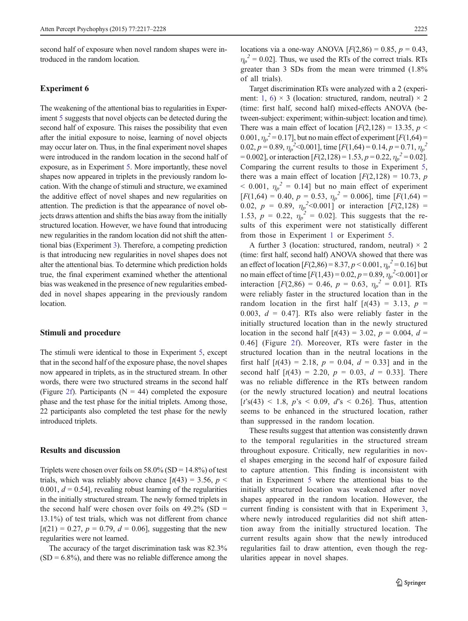<span id="page-8-0"></span>second half of exposure when novel random shapes were introduced in the random location.

## Experiment 6

The weakening of the attentional bias to regularities in Experiment [5](#page-7-0) suggests that novel objects can be detected during the second half of exposure. This raises the possibility that even after the initial exposure to noise, learning of novel objects may occur later on. Thus, in the final experiment novel shapes were introduced in the random location in the second half of exposure, as in Experiment [5.](#page-7-0) More importantly, these novel shapes now appeared in triplets in the previously random location. With the change of stimuli and structure, we examined the additive effect of novel shapes and new regularities on attention. The prediction is that the appearance of novel objects draws attention and shifts the bias away from the initially structured location. However, we have found that introducing new regularities in the random location did not shift the attentional bias (Experiment [3\)](#page-5-0). Therefore, a competing prediction is that introducing new regularities in novel shapes does not alter the attentional bias. To determine which prediction holds true, the final experiment examined whether the attentional bias was weakened in the presence of new regularities embedded in novel shapes appearing in the previously random location.

#### Stimuli and procedure

The stimuli were identical to those in Experiment [5,](#page-7-0) except that in the second half of the exposure phase, the novel shapes now appeared in triplets, as in the structured stream. In other words, there were two structured streams in the second half (Figure [2f](#page-5-0)). Participants ( $N = 44$ ) completed the exposure phase and the test phase for the initial triplets. Among those, 22 participants also completed the test phase for the newly introduced triplets.

# Results and discussion

Triplets were chosen over foils on  $58.0\%$  (SD = 14.8%) of test trials, which was reliably above chance  $\left[t(43) = 3.56, p \right]$ 0.001,  $d = 0.54$ , revealing robust learning of the regularities in the initially structured stream. The newly formed triplets in the second half were chosen over foils on  $49.2\%$  (SD = 13.1%) of test trials, which was not different from chance  $[t(21) = 0.27, p = 0.79, d = 0.06]$ , suggesting that the new regularities were not learned.

The accuracy of the target discrimination task was 82.3%  $(SD = 6.8\%)$ , and there was no reliable difference among the locations via a one-way ANOVA  $[F(2,86) = 0.85, p = 0.43]$  $\eta_p^2$  = 0.02]. Thus, we used the RTs of the correct trials. RTs greater than 3 SDs from the mean were trimmed (1.8% of all trials).

Target discrimination RTs were analyzed with a 2 (experi-ment: [1](#page-3-0), 6)  $\times$  3 (location: structured, random, neutral)  $\times$  2 (time: first half, second half) mixed-effects ANOVA (between-subject: experiment; within-subject: location and time). There was a main effect of location  $[F(2,128) = 13.35, p <$ 0.001,  $\eta_p^2$  = 0.17], but no main effect of experiment [ $F(1,64)$  = 0.02,  $p = 0.89$ ,  $\eta_p^2 < 0.001$ ], time [ $F(1,64) = 0.14$ ,  $p = 0.71$ ,  $\eta_p^2$  $= 0.002$ ], or interaction  $[F(2,128) = 1.53, p = 0.22, \eta_p^2 = 0.02]$ . Comparing the current results to those in Experiment [5,](#page-7-0) there was a main effect of location  $[F(2,128) = 10.73, p$  $<$  0.001,  $\eta_p^2 = 0.14$ ] but no main effect of experiment  $[F(1,64) = 0.40, p = 0.53, \eta_p^2 = 0.006]$ , time  $[F(1,64) =$ 0.02,  $p = 0.89$ ,  $\eta_p^2 < 0.001$  or interaction  $[F(2, 128) =$ 1.53,  $p = 0.22$ ,  $\eta_p^2 = 0.02$ . This suggests that the results of this experiment were not statistically different from those in Experiment [1](#page-3-0) or Experiment [5](#page-7-0).

A further 3 (location: structured, random, neutral)  $\times$  2 (time: first half, second half) ANOVA showed that there was an effect of location  $[F(2,86) = 8.37, p < 0.001, \eta_p^2 = 0.16]$  but no main effect of time  $[F(1,43) = 0.02, p = 0.89, \eta_p^2 < 0.001]$  or interaction  $[F(2,86) = 0.46, p = 0.63, \eta_p^2 = 0.01]$ . RTs were reliably faster in the structured location than in the random location in the first half  $[t(43) = 3.13, p =$ 0.003,  $d = 0.47$ ]. RTs also were reliably faster in the initially structured location than in the newly structured location in the second half  $[t(43) = 3.02, p = 0.004, d =$ 0.46] (Figure [2f](#page-5-0)). Moreover, RTs were faster in the structured location than in the neutral locations in the first half  $[t(43) = 2.18, p = 0.04, d = 0.33]$  and in the second half  $[t(43) = 2.20, p = 0.03, d = 0.33]$ . There was no reliable difference in the RTs between random (or the newly structured location) and neutral locations  $[t's(43) < 1.8, p's < 0.09, d's < 0.26]$ . Thus, attention seems to be enhanced in the structured location, rather than suppressed in the random location.

These results suggest that attention was consistently drawn to the temporal regularities in the structured stream throughout exposure. Critically, new regularities in novel shapes emerging in the second half of exposure failed to capture attention. This finding is inconsistent with that in Experiment [5](#page-7-0) where the attentional bias to the initially structured location was weakened after novel shapes appeared in the random location. However, the current finding is consistent with that in Experiment [3,](#page-5-0) where newly introduced regularities did not shift attention away from the initially structured location. The current results again show that the newly introduced regularities fail to draw attention, even though the regularities appear in novel shapes.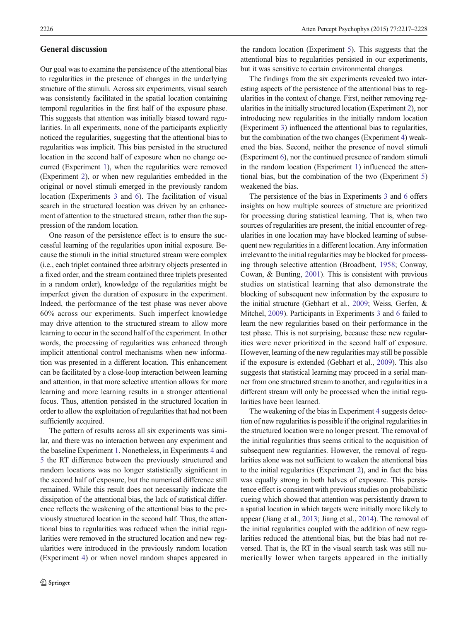#### General discussion

Our goal was to examine the persistence of the attentional bias to regularities in the presence of changes in the underlying structure of the stimuli. Across six experiments, visual search was consistently facilitated in the spatial location containing temporal regularities in the first half of the exposure phase. This suggests that attention was initially biased toward regularities. In all experiments, none of the participants explicitly noticed the regularities, suggesting that the attentional bias to regularities was implicit. This bias persisted in the structured location in the second half of exposure when no change occurred (Experiment [1](#page-3-0)), when the regularities were removed (Experiment [2](#page-4-0)), or when new regularities embedded in the original or novel stimuli emerged in the previously random location (Experiments [3](#page-5-0) and [6\)](#page-8-0). The facilitation of visual search in the structured location was driven by an enhancement of attention to the structured stream, rather than the suppression of the random location.

One reason of the persistence effect is to ensure the successful learning of the regularities upon initial exposure. Because the stimuli in the initial structured stream were complex (i.e., each triplet contained three arbitrary objects presented in a fixed order, and the stream contained three triplets presented in a random order), knowledge of the regularities might be imperfect given the duration of exposure in the experiment. Indeed, the performance of the test phase was never above 60% across our experiments. Such imperfect knowledge may drive attention to the structured stream to allow more learning to occur in the second half of the experiment. In other words, the processing of regularities was enhanced through implicit attentional control mechanisms when new information was presented in a different location. This enhancement can be facilitated by a close-loop interaction between learning and attention, in that more selective attention allows for more learning and more learning results in a stronger attentional focus. Thus, attention persisted in the structured location in order to allow the exploitation of regularities that had not been sufficiently acquired.

The pattern of results across all six experiments was similar, and there was no interaction between any experiment and the baseline Experiment [1.](#page-3-0) Nonetheless, in Experiments [4](#page-6-0) and [5](#page-7-0) the RT difference between the previously structured and random locations was no longer statistically significant in the second half of exposure, but the numerical difference still remained. While this result does not necessarily indicate the dissipation of the attentional bias, the lack of statistical difference reflects the weakening of the attentional bias to the previously structured location in the second half. Thus, the attentional bias to regularities was reduced when the initial regularities were removed in the structured location and new regularities were introduced in the previously random location (Experiment [4\)](#page-6-0) or when novel random shapes appeared in

the random location (Experiment [5](#page-7-0)). This suggests that the attentional bias to regularities persisted in our experiments, but it was sensitive to certain environmental changes.

The findings from the six experiments revealed two interesting aspects of the persistence of the attentional bias to regularities in the context of change. First, neither removing regularities in the initially structured location (Experiment [2\)](#page-4-0), nor introducing new regularities in the initially random location (Experiment [3](#page-5-0)) influenced the attentional bias to regularities, but the combination of the two changes (Experiment [4](#page-6-0)) weakened the bias. Second, neither the presence of novel stimuli (Experiment [6\)](#page-8-0), nor the continued presence of random stimuli in the random location (Experiment [1](#page-3-0)) influenced the attentional bias, but the combination of the two (Experiment [5\)](#page-7-0) weakened the bias.

The persistence of the bias in Experiments [3](#page-5-0) and [6](#page-8-0) offers insights on how multiple sources of structure are prioritized for processing during statistical learning. That is, when two sources of regularities are present, the initial encounter of regularities in one location may have blocked learning of subsequent new regularities in a different location. Any information irrelevant to the initial regularities may be blocked for processing through selective attention (Broadbent, [1958;](#page-10-0) Conway, Cowan, & Bunting, [2001\)](#page-10-0). This is consistent with previous studies on statistical learning that also demonstrate the blocking of subsequent new information by the exposure to the initial structure (Gebhart et al., [2009](#page-10-0); Weiss, Gerfen, & Mitchel, [2009\)](#page-11-0). Participants in Experiments [3](#page-5-0) and [6](#page-8-0) failed to learn the new regularities based on their performance in the test phase. This is not surprising, because these new regularities were never prioritized in the second half of exposure. However, learning of the new regularities may still be possible if the exposure is extended (Gebhart et al., [2009](#page-10-0)). This also suggests that statistical learning may proceed in a serial manner from one structured stream to another, and regularities in a different stream will only be processed when the initial regularities have been learned.

The weakening of the bias in Experiment [4](#page-6-0) suggests detection of new regularities is possible if the original regularities in the structured location were no longer present. The removal of the initial regularities thus seems critical to the acquisition of subsequent new regularities. However, the removal of regularities alone was not sufficient to weaken the attentional bias to the initial regularities (Experiment [2\)](#page-4-0), and in fact the bias was equally strong in both halves of exposure. This persistence effect is consistent with previous studies on probabilistic cueing which showed that attention was persistently drawn to a spatial location in which targets were initially more likely to appear (Jiang et al., [2013](#page-10-0); Jiang et al., [2014\)](#page-10-0). The removal of the initial regularities coupled with the addition of new regularities reduced the attentional bias, but the bias had not reversed. That is, the RT in the visual search task was still numerically lower when targets appeared in the initially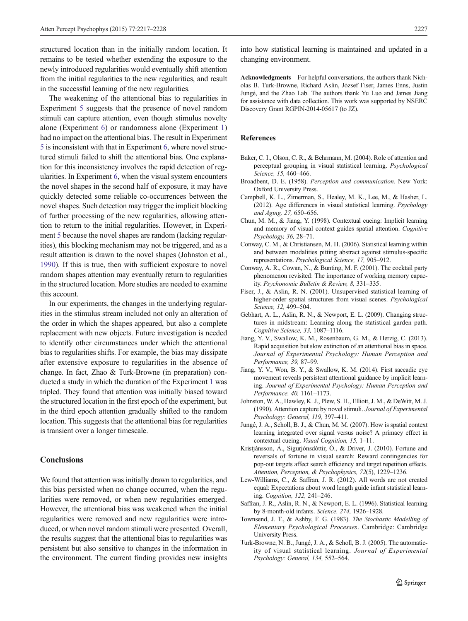<span id="page-10-0"></span>structured location than in the initially random location. It remains to be tested whether extending the exposure to the newly introduced regularities would eventually shift attention from the initial regularities to the new regularities, and result in the successful learning of the new regularities.

The weakening of the attentional bias to regularities in Experiment [5](#page-7-0) suggests that the presence of novel random stimuli can capture attention, even though stimulus novelty alone (Experiment [6\)](#page-8-0) or randomness alone (Experiment [1\)](#page-3-0) had no impact on the attentional bias. The result in Experiment [5](#page-7-0) is inconsistent with that in Experiment [6,](#page-8-0) where novel structured stimuli failed to shift the attentional bias. One explanation for this inconsistency involves the rapid detection of regularities. In Experiment [6,](#page-8-0) when the visual system encounters the novel shapes in the second half of exposure, it may have quickly detected some reliable co-occurrences between the novel shapes. Such detection may trigger the implicit blocking of further processing of the new regularities, allowing attention to return to the initial regularities. However, in Experiment [5](#page-7-0) because the novel shapes are random (lacking regularities), this blocking mechanism may not be triggered, and as a result attention is drawn to the novel shapes (Johnston et al., 1990). If this is true, then with sufficient exposure to novel random shapes attention may eventually return to regularities in the structured location. More studies are needed to examine this account.

In our experiments, the changes in the underlying regularities in the stimulus stream included not only an alteration of the order in which the shapes appeared, but also a complete replacement with new objects. Future investigation is needed to identify other circumstances under which the attentional bias to regularities shifts. For example, the bias may dissipate after extensive exposure to regularities in the absence of change. In fact, Zhao & Turk-Browne (in preparation) conducted a study in which the duration of the Experiment [1](#page-3-0) was tripled. They found that attention was initially biased toward the structured location in the first epoch of the experiment, but in the third epoch attention gradually shifted to the random location. This suggests that the attentional bias for regularities is transient over a longer timescale.

# Conclusions

We found that attention was initially drawn to regularities, and this bias persisted when no change occurred, when the regularities were removed, or when new regularities emerged. However, the attentional bias was weakened when the initial regularities were removed and new regularities were introduced, or when novel random stimuli were presented. Overall, the results suggest that the attentional bias to regularities was persistent but also sensitive to changes in the information in the environment. The current finding provides new insights

into how statistical learning is maintained and updated in a changing environment.

Acknowledgments For helpful conversations, the authors thank Nicholas B. Turk-Browne, Richard Aslin, József Fiser, James Enns, Justin Jungé, and the Zhao Lab. The authors thank Yu Luo and James Jiang for assistance with data collection. This work was supported by NSERC Discovery Grant RGPIN-2014-05617 (to JZ).

#### References

- Baker, C. I., Olson, C. R., & Behrmann, M. (2004). Role of attention and perceptual grouping in visual statistical learning. Psychological Science, 15, 460–466.
- Broadbent, D. E. (1958). Perception and communication. New York: Oxford University Press.
- Campbell, K. L., Zimerman, S., Healey, M. K., Lee, M., & Hasher, L. (2012). Age differences in visual statistical learning. Psychology and Aging, 27, 650–656.
- Chun, M. M., & Jiang, Y. (1998). Contextual cueing: Implicit learning and memory of visual context guides spatial attention. Cognitive Psychology, 36, 28–71.
- Conway, C. M., & Christiansen, M. H. (2006). Statistical learning within and between modalities pitting abstract against stimulus-specific representations. Psychological Science, 17, 905–912.
- Conway, A. R., Cowan, N., & Bunting, M. F. (2001). The cocktail party phenomenon revisited: The importance of working memory capacity. Psychonomic Bulletin & Review, 8, 331–335.
- Fiser, J., & Aslin, R. N. (2001). Unsupervised statistical learning of higher-order spatial structures from visual scenes. Psychological Science, 12, 499–504.
- Gebhart, A. L., Aslin, R. N., & Newport, E. L. (2009). Changing structures in midstream: Learning along the statistical garden path. Cognitive Science, 33, 1087–1116.
- Jiang, Y. V., Swallow, K. M., Rosenbaum, G. M., & Herzig, C. (2013). Rapid acquisition but slow extinction of an attentional bias in space. Journal of Experimental Psychology: Human Perception and Performance, 39, 87–99.
- Jiang, Y. V., Won, B. Y., & Swallow, K. M. (2014). First saccadic eye movement reveals persistent attentional guidance by implicit learning. Journal of Experimental Psychology: Human Perception and Performance, 40, 1161–1173.
- Johnston, W. A., Hawley, K. J., Plew, S. H., Elliott, J. M., & DeWitt, M. J. (1990). Attention capture by novel stimuli. Journal of Experimental Psychology: General, 119, 397–411.
- Jungé, J. A., Scholl, B. J., & Chun, M. M. (2007). How is spatial context learning integrated over signal versus noise? A primacy effect in contextual cueing. Visual Cognition, 15, 1–11.
- Kristjánsson, Á., Sigurjónsdóttir, Ó., & Driver, J. (2010). Fortune and reversals of fortune in visual search: Reward contingencies for pop-out targets affect search efficiency and target repetition effects. Attention, Perception, & Psychophysics, 72(5), 1229–1236.
- Lew-Williams, C., & Saffran, J. R. (2012). All words are not created equal: Expectations about word length guide infant statistical learning. Cognition, 122, 241–246.
- Saffran, J. R., Aslin, R. N., & Newport, E. L. (1996). Statistical learning by 8-month-old infants. Science, 274, 1926–1928.
- Townsend, J. T., & Ashby, F. G. (1983). The Stochastic Modelling of Elementary Psychological Processes. Cambridge: Cambridge University Press.
- Turk-Browne, N. B., Jungé, J. A., & Scholl, B. J. (2005). The automaticity of visual statistical learning. Journal of Experimental Psychology: General, 134, 552–564.